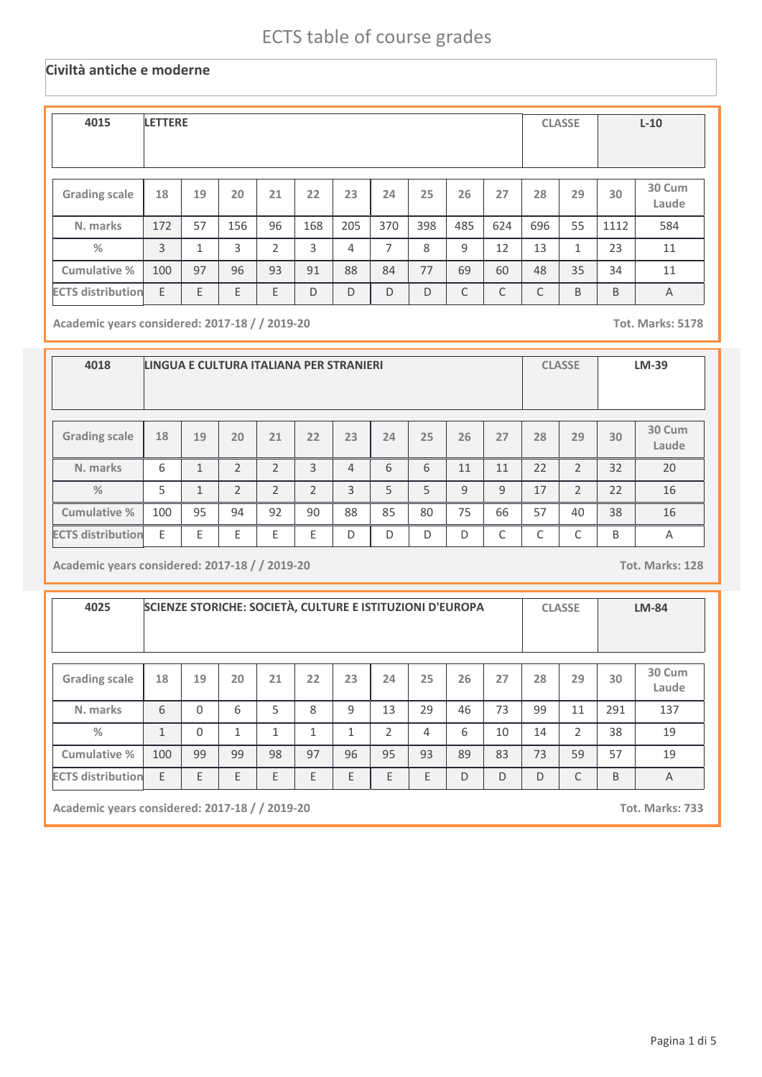#### **Civiltà antiche e moderne**

| 4015                     | <b>LETTERE</b> |                |     |                |     |     |     |     |     |     |     | <b>CLASSE</b> |      | $L-10$          |
|--------------------------|----------------|----------------|-----|----------------|-----|-----|-----|-----|-----|-----|-----|---------------|------|-----------------|
| <b>Grading scale</b>     | 18             | 19             | 20  | 21             | 22  | 23  | 24  | 25  | 26  | 27  | 28  | 29            | 30   | 30 Cum<br>Laude |
| N. marks                 | 172            | 57             | 156 | 96             | 168 | 205 | 370 | 398 | 485 | 624 | 696 | 55            | 1112 | 584             |
| %                        | $\overline{3}$ | $\overline{ }$ | 3   | $\overline{2}$ | 3   | 4   | 7   | 8   | 9   | 12  | 13  | $\mathbf{1}$  | 23   | 11              |
| Cumulative %             | 100            | 97             | 96  | 93             | 91  | 88  | 84  | 77  | 69  | 60  | 48  | 35            | 34   | 11              |
| <b>ECTS distribution</b> | E              | E              | E   | E              | D   | D   | D   | D   | C   | C   | C   | B             | B    | $\overline{A}$  |

**Academic years considered: 2017-18 / / 2019-20 Tot. Marks: 5178**

| 4018                     | LINGUA E CULTURA ITALIANA PER STRANIERI |              |                |                |                |                |    |    |    |              |        | <b>CLASSE</b>   |    | <b>LM-39</b>    |
|--------------------------|-----------------------------------------|--------------|----------------|----------------|----------------|----------------|----|----|----|--------------|--------|-----------------|----|-----------------|
| <b>Grading scale</b>     | 18                                      | 19           | 20             | 21             | 22             | 23             | 24 | 25 | 26 | 27           | 28     | 29              | 30 | 30 Cum<br>Laude |
| N. marks                 | 6                                       | $\mathbf{1}$ | $\overline{2}$ | $\overline{2}$ | 3              | $\overline{4}$ | 6  | 6  | 11 | 11           | 22     | $\overline{2}$  | 32 | 20              |
| $\frac{9}{6}$            | 5                                       | $\mathbf{1}$ | $\overline{2}$ | $\overline{2}$ | $\overline{2}$ | 3              | 5  | 5  | 9  | 9            | 17     | $\overline{2}$  | 22 | 16              |
| <b>Cumulative %</b>      | 100                                     | 95           | 94             | 92             | 90             | 88             | 85 | 80 | 75 | 66           | 57     | 40              | 38 | 16              |
| <b>ECTS distribution</b> | E                                       | F            | E              | Ε              | F              | D              | D  | D  | D  | $\mathsf{C}$ | ┌<br>◡ | $\sqrt{2}$<br>◡ | B  | Α               |

**Academic years considered: 2017-18 / / 2019-20 Tot. Marks: 128**

| 4025                     |              |          |    |    |    | SCIENZE STORICHE: SOCIETÀ, CULTURE E ISTITUZIONI D'EUROPA |                |    |              |              |    | <b>CLASSE</b>  |     | <b>LM-84</b>    |
|--------------------------|--------------|----------|----|----|----|-----------------------------------------------------------|----------------|----|--------------|--------------|----|----------------|-----|-----------------|
| <b>Grading scale</b>     | 18           | 19       | 20 | 21 | 22 | 23                                                        | 24             | 25 | 26           | 27           | 28 | 29             | 30  | 30 Cum<br>Laude |
| N. marks                 | 6            | $\Omega$ | 6  | 5  | 8  | 9                                                         | 13             | 29 | 46           | 73           | 99 | 11             | 291 | 137             |
| $\frac{9}{6}$            | $\mathbf{1}$ | $\Omega$ | 1  | 1  | 1  | 1                                                         | $\overline{2}$ | 4  | 6            | 10           | 14 | $\overline{2}$ | 38  | 19              |
| Cumulative %             | 100          | 99       | 99 | 98 | 97 | 96                                                        | 95             | 93 | 89           | 83           | 73 | 59             | 57  | 19              |
| <b>ECTS distribution</b> | E            | E        | E  | E  | E  | E                                                         | E              | E  | $\mathsf{D}$ | $\mathsf{D}$ | D  | C              | B   | A               |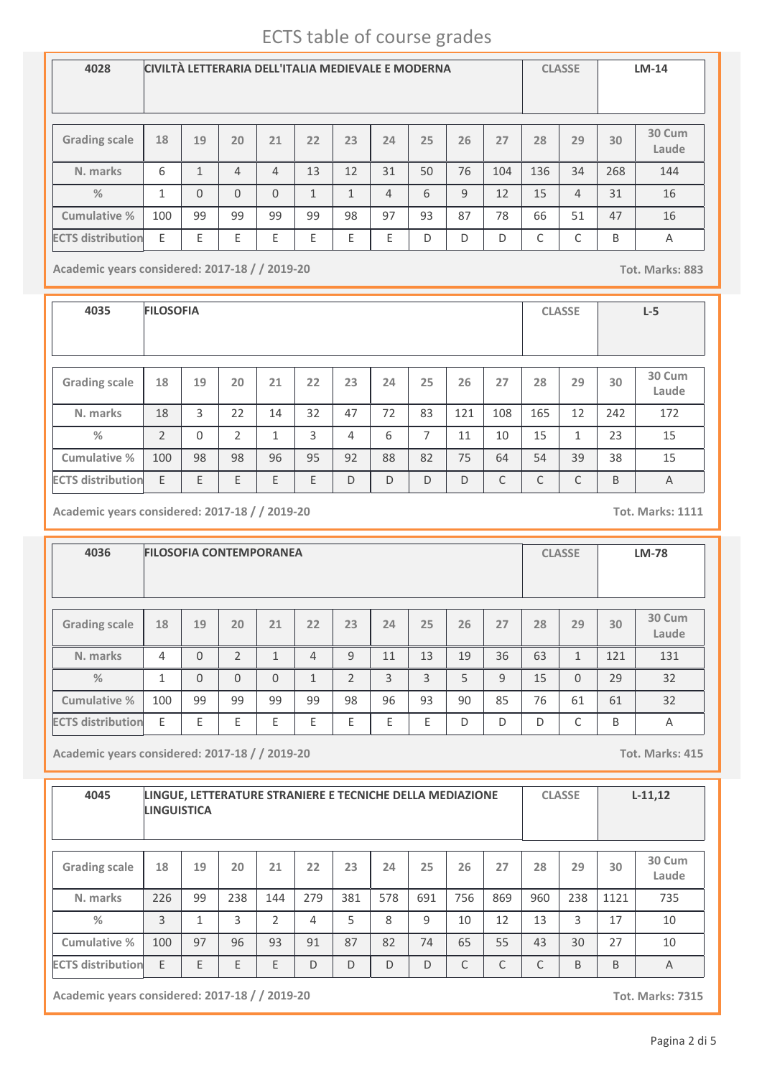| 4028                     | CIVILTÀ LETTERARIA DELL'ITALIA MEDIEVALE E MODERNA |              |          |                |              |    |                |    |    |     |     | <b>CLASSE</b> |     | $LM-14$         |
|--------------------------|----------------------------------------------------|--------------|----------|----------------|--------------|----|----------------|----|----|-----|-----|---------------|-----|-----------------|
| <b>Grading scale</b>     | 18                                                 | 19           | 20       | 21             | 22           | 23 | 24             | 25 | 26 | 27  | 28  | 29            | 30  | 30 Cum<br>Laude |
| N. marks                 | 6                                                  | $\mathbf{1}$ | 4        | $\overline{4}$ | 13           | 12 | 31             | 50 | 76 | 104 | 136 | 34            | 268 | 144             |
| $\frac{0}{2}$            | $\mathbf{1}$                                       | $\Omega$     | $\Omega$ | $\Omega$       | $\mathbf{1}$ | 1  | $\overline{4}$ | 6  | 9  | 12  | 15  | 4             | 31  | 16              |
| Cumulative %             | 100                                                | 99           | 99       | 99             | 99           | 98 | 97             | 93 | 87 | 78  | 66  | 51            | 47  | 16              |
| <b>ECTS distribution</b> | E                                                  | E            | E        | E              | Ε            | E  | E              | D  | D  | D   | C   | ┌<br>J        | B   | $\overline{A}$  |

**Academic years considered: 2017-18 / / 2019-20 Tot. Marks: 883**

**4035 FILOSOFIA CLASSE L-5 Grading scale 18 N. marks Cumulative % %** 18 **19** 3 **20** 22 **<sup>21</sup> <sup>22</sup> <sup>23</sup> <sup>24</sup> <sup>25</sup> <sup>26</sup> <sup>27</sup> <sup>28</sup> <sup>29</sup> 30 Cum Laude** 14 32 47 72 83 121 108 165 12 172 **30** 242 2 0 2 1 3 4 6 7 11 10 15 1 23 15 100 98 98 96 95 92 88 82 75 64 54 39 38 15 **ECTS distribution** E E E E E D D D D C C C B A

**Academic years considered: 2017-18 / / 2019-20 Tot. Marks: 1111**

**4036 FILOSOFIA CONTEMPORANEA CLASSE LM-78 Grading scale 18 N. marks Cumulative % %** 4 **19** 0 **20** 2 **<sup>21</sup> <sup>22</sup> <sup>23</sup> <sup>24</sup> <sup>25</sup> <sup>26</sup> <sup>27</sup> <sup>28</sup> <sup>29</sup> 30 Cum Laude** 1 | 4 | 9 | 11 | 13 | 19 | 36 | 63 | 1 | 121 | 131 **30** 121 1 0 0 0 1 2 3 3 5 9 15 0 29 32 100 99 99 99 99 98 96 93 90 85 76 61 61 32 **ECTS distribution** E E E E E E E E D D D C B A

**Academic years considered: 2017-18 / / 2019-20 Tot. Marks: 415**

| 4045                     | <b>LINGUISTICA</b> |    | LINGUE, LETTERATURE STRANIERE E TECNICHE DELLA MEDIAZIONE |     |     |     |     |     |     |     |     | <b>CLASSE</b> |      | $L-11,12$       |
|--------------------------|--------------------|----|-----------------------------------------------------------|-----|-----|-----|-----|-----|-----|-----|-----|---------------|------|-----------------|
| <b>Grading scale</b>     | 18                 | 19 | 20                                                        | 21  | 22  | 23  | 24  | 25  | 26  | 27  | 28  | 29            | 30   | 30 Cum<br>Laude |
| N. marks                 | 226                | 99 | 238                                                       | 144 | 279 | 381 | 578 | 691 | 756 | 869 | 960 | 238           | 1121 | 735             |
| $\%$                     | 3                  |    | 3                                                         | C.  | 4   | 5   | 8   | 9   | 10  | 12  | 13  | 3             | 17   | 10              |
| Cumulative %             | 100                | 97 | 96                                                        | 93  | 91  | 87  | 82  | 74  | 65  | 55  | 43  | 30            | 27   | 10              |
| <b>ECTS distribution</b> | E                  | E  | E                                                         | E   | D   | D   | D   | D   | C   | C   | C   | B             | B    | $\overline{A}$  |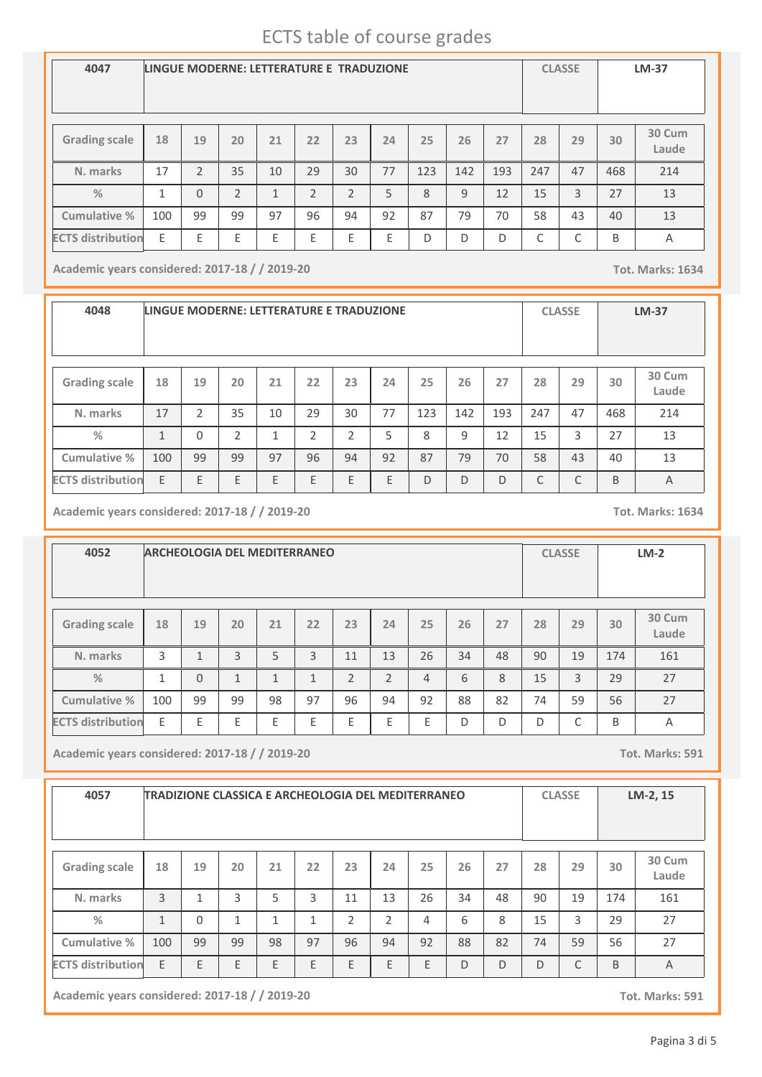| 4047                     | LINGUE MODERNE: LETTERATURE E TRADUZIONE |                |                |    |                |                |    |              |     |     |     | <b>CLASSE</b> |     | <b>LM-37</b>    |
|--------------------------|------------------------------------------|----------------|----------------|----|----------------|----------------|----|--------------|-----|-----|-----|---------------|-----|-----------------|
| <b>Grading scale</b>     | 18                                       | 19             | 20             | 21 | 22             | 23             | 24 | 25           | 26  | 27  | 28  | 29            | 30  | 30 Cum<br>Laude |
| N. marks                 | 17                                       | $\mathfrak{p}$ | 35             | 10 | 29             | 30             | 77 | 123          | 142 | 193 | 247 | 47            | 468 | 214             |
| $\frac{0}{2}$            | 1                                        | $\Omega$       | $\mathfrak{D}$ | 1  | $\mathfrak{D}$ | $\mathfrak{D}$ | 5  | $\mathbf{8}$ | 9   | 12  | 15  | 3             | 27  | 13              |
| Cumulative %             | 100                                      | 99             | 99             | 97 | 96             | 94             | 92 | 87           | 79  | 70  | 58  | 43            | 40  | 13              |
| <b>ECTS distribution</b> | E                                        | E              | E              | E  | E              | E              | Ε  | D            | D   | D   | С   | C             | B   | Α               |

**Academic years considered: 2017-18 / / 2019-20 Tot. Marks: 1634**

**4048 LINGUE MODERNE: LETTERATURE E TRADUZIONE CLASSE LM-37 Grading scale 18 N. marks Cumulative % %** 17 **19** 2 **20** 35 **<sup>21</sup> <sup>22</sup> <sup>23</sup> <sup>24</sup> <sup>25</sup> <sup>26</sup> <sup>27</sup> <sup>28</sup> <sup>29</sup> 30 Cum Laude** 10 29 30 77 123 142 193 247 47 214 **30** 468 1 0 2 1 2 2 5 8 9 12 15 3 27 13 100 | 99 | 99 | 97 | 96 | 94 | 92 | 87 | 79 | 70 | 58 | 43 | 40 | 13 **ECTS distribution** E E E E E E E D D D C C B A

**Academic years considered: 2017-18 / / 2019-20 Tot. Marks: 1634**

**4052 ARCHEOLOGIA DEL MEDITERRANEO CLASSE LM-2 Grading scale 18 N. marks Cumulative % %** 3 **19** 1 **20** 3 **<sup>21</sup> <sup>22</sup> <sup>23</sup> <sup>24</sup> <sup>25</sup> <sup>26</sup> <sup>27</sup> <sup>28</sup> <sup>29</sup> 30 Cum Laude** 5 | 3 | 11 | 13 | 26 | 34 | 48 | 90 | 19 | 174 | 161 **30** 174 1 0 1 1 1 2 2 4 6 8 15 3 29 27 100 99 99 98 97 96 94 92 88 82 74 59 56 27 **ECTS distribution** E E E E E E E E D D D C B A

**Academic years considered: 2017-18 / / 2019-20 Tot. Marks: 591**

| 4057                     |     |          |              |    |    | TRADIZIONE CLASSICA E ARCHEOLOGIA DEL MEDITERRANEO |    |    |    |    |    | <b>CLASSE</b> |     | LM-2, 15        |
|--------------------------|-----|----------|--------------|----|----|----------------------------------------------------|----|----|----|----|----|---------------|-----|-----------------|
| <b>Grading scale</b>     | 18  | 19       | 20           | 21 | 22 | 23                                                 | 24 | 25 | 26 | 27 | 28 | 29            | 30  | 30 Cum<br>Laude |
| N. marks                 | 3   | 1        | 3            | 5  | 3  | 11                                                 | 13 | 26 | 34 | 48 | 90 | 19            | 174 | 161             |
| $\frac{0}{2}$            | 1   | $\Omega$ | $\mathbf{1}$ | 1  | 1  | $\overline{2}$                                     | 2  | 4  | 6  | 8  | 15 | 3             | 29  | 27              |
| Cumulative %             | 100 | 99       | 99           | 98 | 97 | 96                                                 | 94 | 92 | 88 | 82 | 74 | 59            | 56  | 27              |
| <b>ECTS distribution</b> | E   | E        | E            | E  | E  | E                                                  | E  | E  | D  | D  | D  | C             | B   | A               |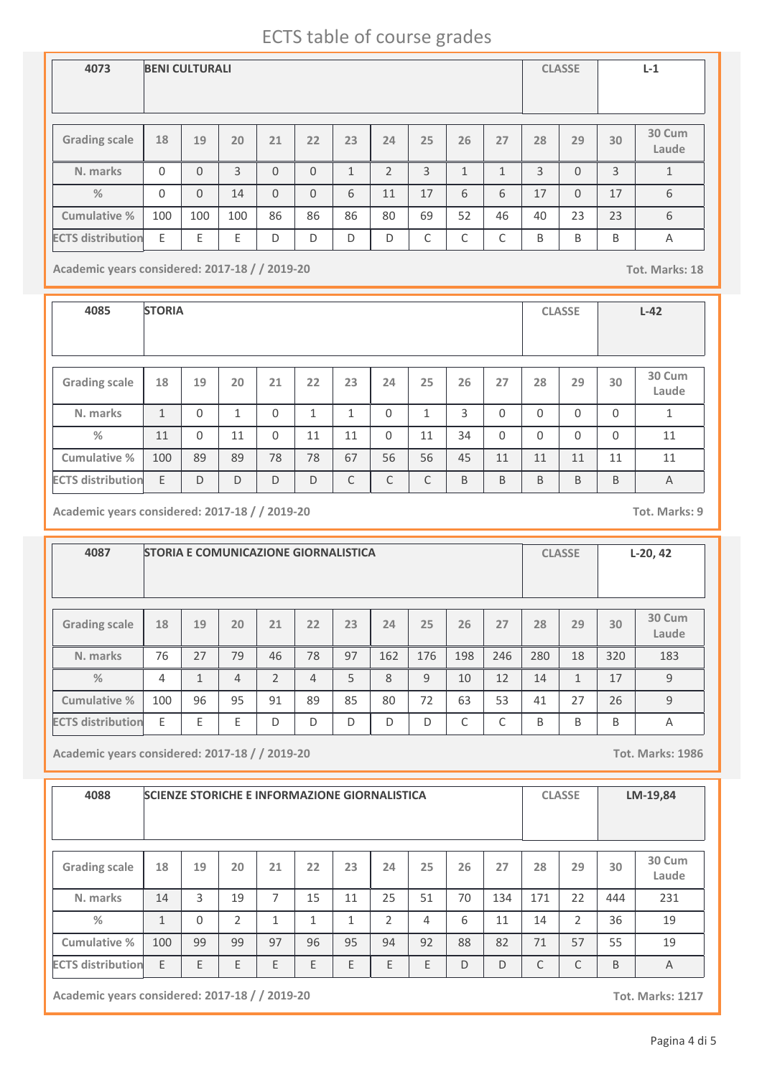| 4073                     | <b>BENI CULTURALI</b> |          |     |          |          |              |                |    |              |              |    | <b>CLASSE</b> |    | $L-1$           |
|--------------------------|-----------------------|----------|-----|----------|----------|--------------|----------------|----|--------------|--------------|----|---------------|----|-----------------|
| <b>Grading scale</b>     | 18                    | 19       | 20  | 21       | 22       | 23           | 24             | 25 | 26           | 27           | 28 | 29            | 30 | 30 Cum<br>Laude |
| N. marks                 | $\Omega$              | $\Omega$ | 3   | $\Omega$ | $\Omega$ | $\mathbf{1}$ | $\overline{2}$ | 3  | $\mathbf{1}$ | $\mathbf{1}$ | 3  | $\Omega$      | 3  | $\mathbf{1}$    |
| $\frac{0}{2}$            | $\Omega$              | $\Omega$ | 14  | $\Omega$ | $\Omega$ | 6            | 11             | 17 | 6            | 6            | 17 | $\Omega$      | 17 | 6               |
| Cumulative %             | 100                   | 100      | 100 | 86       | 86       | 86           | 80             | 69 | 52           | 46           | 40 | 23            | 23 | 6               |
| <b>ECTS distribution</b> | E                     | E        | E   | D        | D        | D            | D              | ⌒  | ┌<br>◡       | C            | B  | B             | B  | $\overline{A}$  |

**Academic years considered: 2017-18 / / 2019-20 Tot. Marks: 18**

**4085 STORIA CLASSE L-42 Grading scale 18 N. marks Cumulative % %** 1 **19** 0 **20** 1 **<sup>21</sup> <sup>22</sup> <sup>23</sup> <sup>24</sup> <sup>25</sup> <sup>26</sup> <sup>27</sup> <sup>28</sup> <sup>29</sup> 30 Cum Laude**  $0$   $1$   $1$   $0$   $1$   $3$   $0$   $0$   $0$   $0$   $1$ **30** 0 11 | 0 | 11 | 0 | 11 | 11 | 0 | 11 | 34 | 0 | 0 | 0 | 0 | 11 100 | 89 | 89 | 78 | 78 | 67 | 56 | 56 | 45 | 11 | 11 | 11 | 11 | 11 **ECTS** distribution E D D D D D C C C B B B B B B A

**Academic years considered: 2017-18 / / 2019-20 Tot. Marks: 9**

| 4087                     | <b>STORIA E COMUNICAZIONE GIORNALISTICA</b> |    |                |    |    |    |     |     |     |     |     | <b>CLASSE</b> |     | $L-20, 42$      |
|--------------------------|---------------------------------------------|----|----------------|----|----|----|-----|-----|-----|-----|-----|---------------|-----|-----------------|
| <b>Grading scale</b>     | 18                                          | 19 | 20             | 21 | 22 | 23 | 24  | 25  | 26  | 27  | 28  | 29            | 30  | 30 Cum<br>Laude |
| N. marks                 | 76                                          | 27 | 79             | 46 | 78 | 97 | 162 | 176 | 198 | 246 | 280 | 18            | 320 | 183             |
| $\frac{9}{6}$            | 4                                           | 1  | $\overline{4}$ | 2  | 4  | 5  | 8   | 9   | 10  | 12  | 14  | 1             | 17  | 9               |
| Cumulative %             | 100                                         | 96 | 95             | 91 | 89 | 85 | 80  | 72  | 63  | 53  | 41  | 27            | 26  | 9               |
| <b>ECTS distribution</b> | F                                           | F  | F              | D  | D  | D  | D   | D   | ⌒   | ┌   | B   | B             | B   | A               |

**Academic years considered: 2017-18 / / 2019-20 Tot. Marks: 1986**

| 4088                     | <b>SCIENZE STORICHE E INFORMAZIONE GIORNALISTICA</b> |          |                |    |    |    |                |    |    |     |     | <b>CLASSE</b> |     | LM-19,84        |
|--------------------------|------------------------------------------------------|----------|----------------|----|----|----|----------------|----|----|-----|-----|---------------|-----|-----------------|
| <b>Grading scale</b>     | 18                                                   | 19       | 20             | 21 | 22 | 23 | 24             | 25 | 26 | 27  | 28  | 29            | 30  | 30 Cum<br>Laude |
| N. marks                 | 14                                                   | 3        | 19             | 7  | 15 | 11 | 25             | 51 | 70 | 134 | 171 | 22            | 444 | 231             |
| $\%$                     | 1                                                    | $\Omega$ | $\overline{2}$ | 1  | 1  | 1  | $\overline{2}$ | 4  | 6  | 11  | 14  | 2             | 36  | 19              |
| Cumulative %             | 100                                                  | 99       | 99             | 97 | 96 | 95 | 94             | 92 | 88 | 82  | 71  | 57            | 55  | 19              |
| <b>ECTS distribution</b> | E                                                    | E        | E              | E  | E  | E  | E              | E  | D  | D   | C   | C             | B   | $\overline{A}$  |